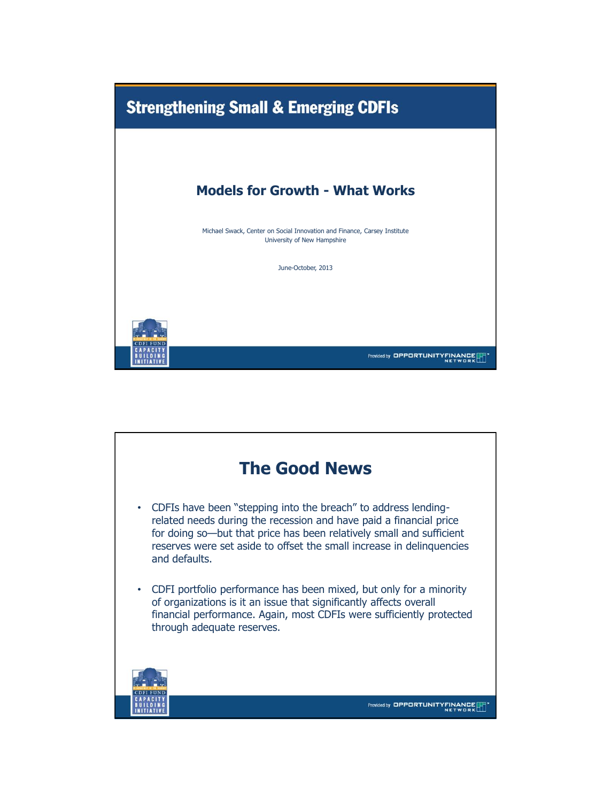

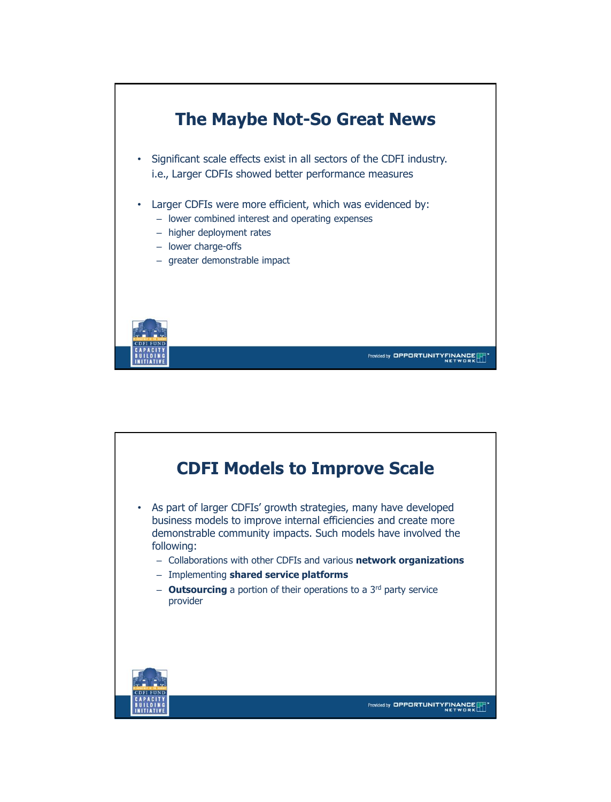

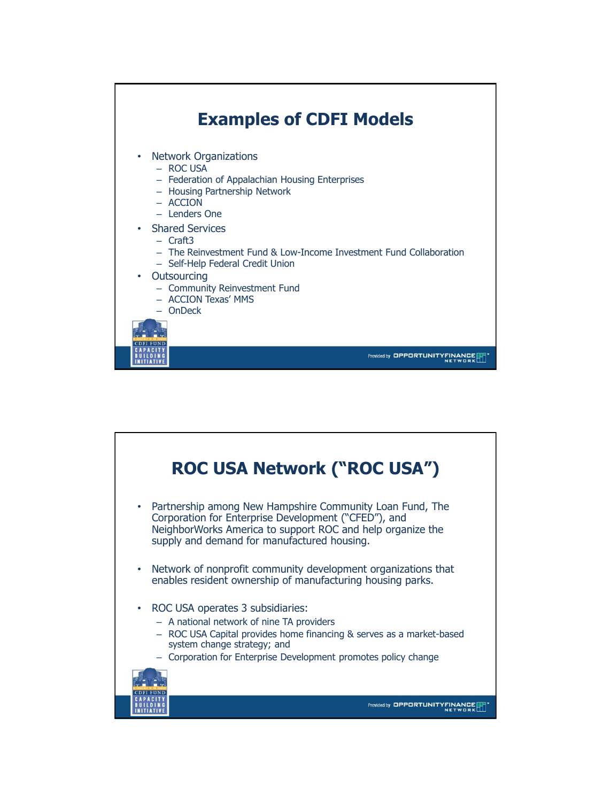

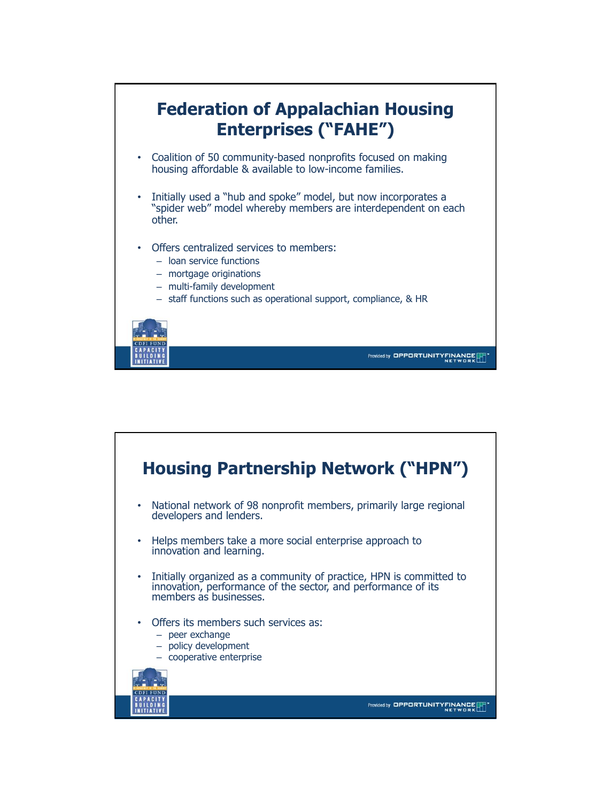

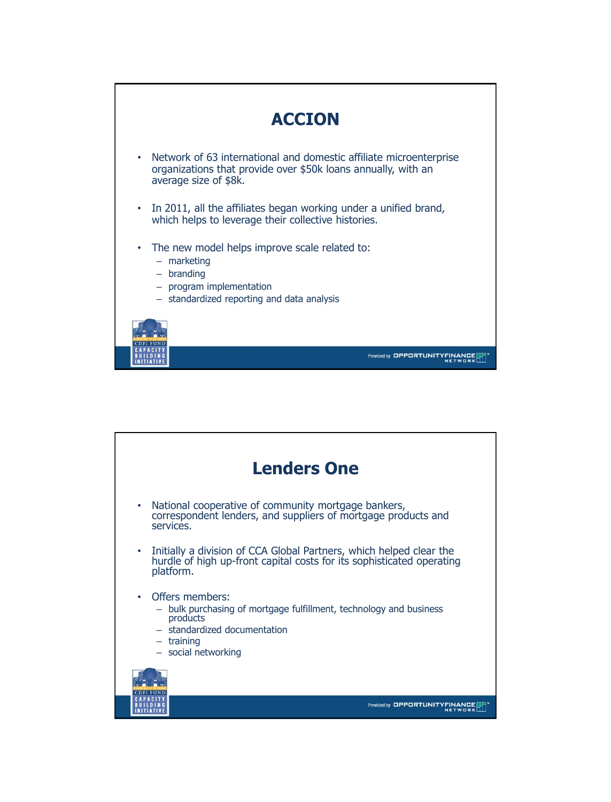

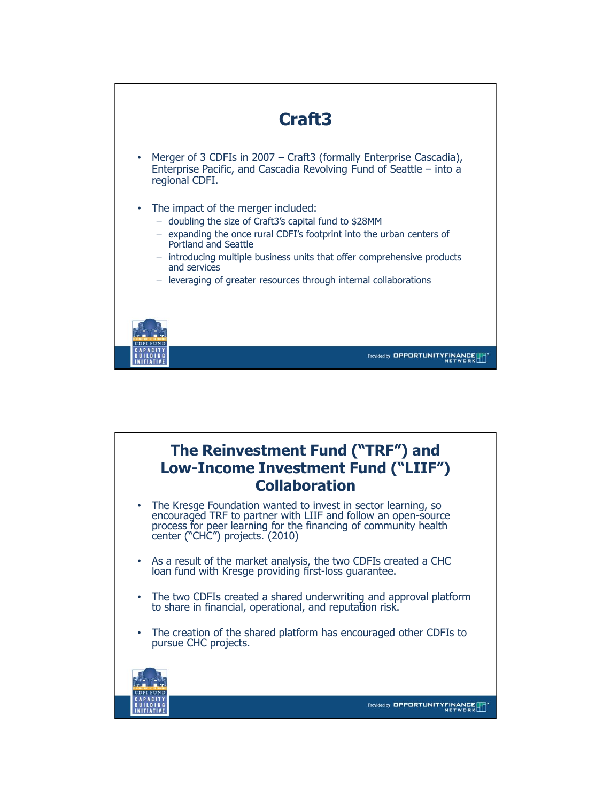

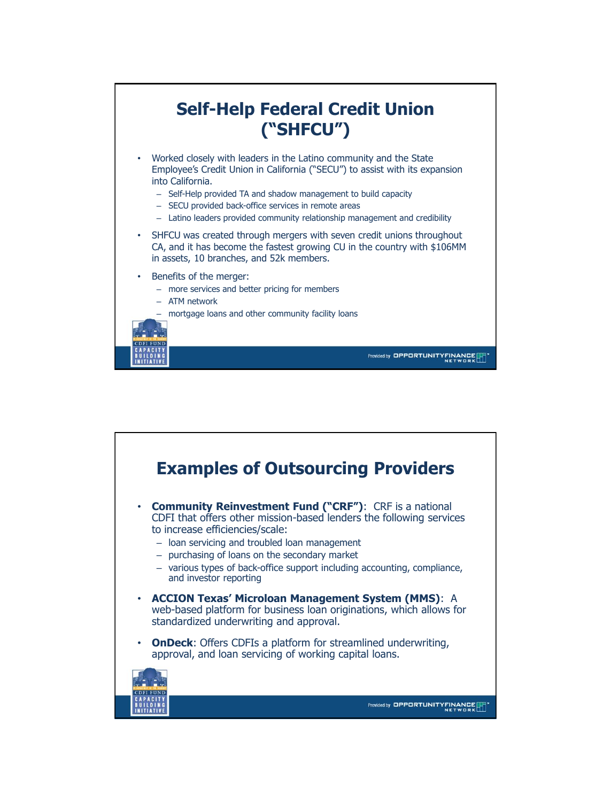

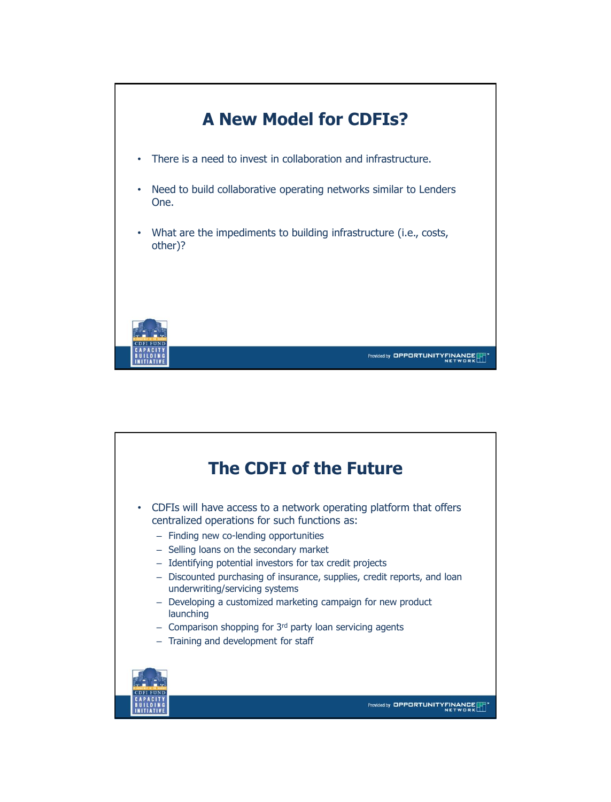